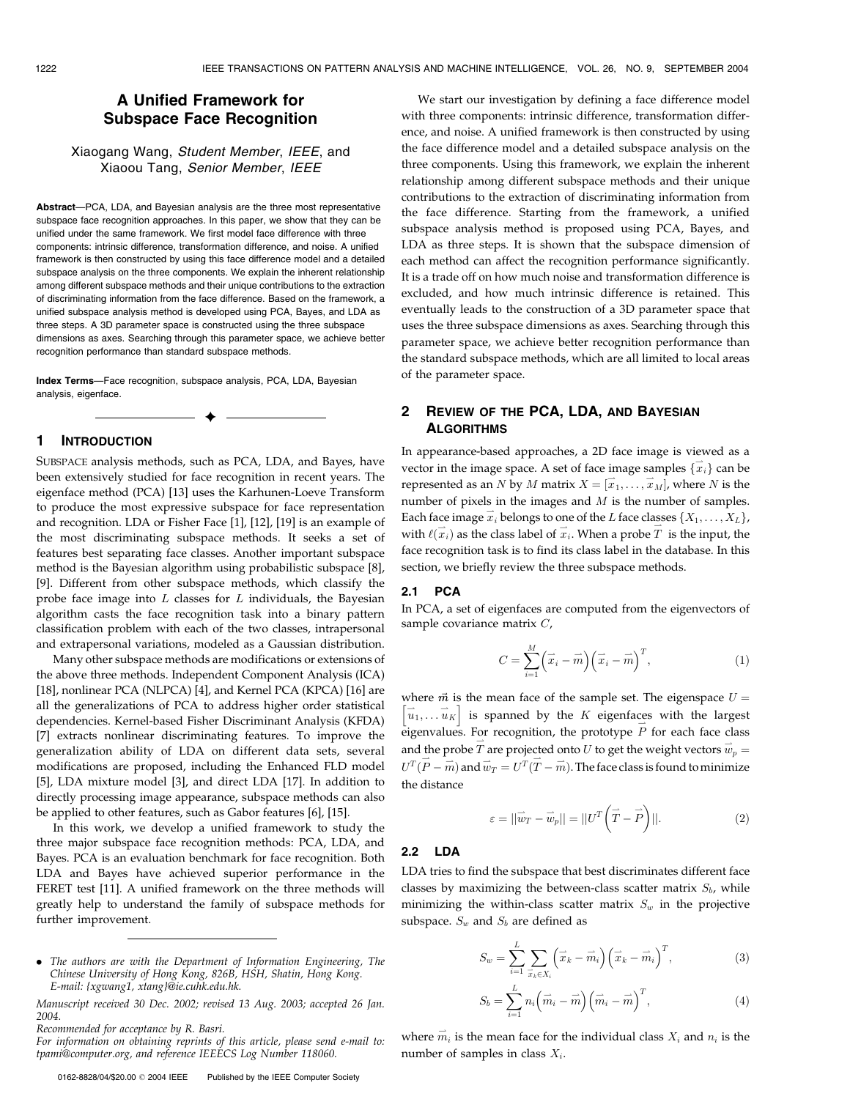# A Unified Framework for Subspace Face Recognition

# Xiaogang Wang, Student Member, IEEE, and Xiaoou Tang, Senior Member, IEEE

Abstract-PCA, LDA, and Bayesian analysis are the three most representative subspace face recognition approaches. In this paper, we show that they can be unified under the same framework. We first model face difference with three components: intrinsic difference, transformation difference, and noise. A unified framework is then constructed by using this face difference model and a detailed subspace analysis on the three components. We explain the inherent relationship among different subspace methods and their unique contributions to the extraction of discriminating information from the face difference. Based on the framework, a unified subspace analysis method is developed using PCA, Bayes, and LDA as three steps. A 3D parameter space is constructed using the three subspace dimensions as axes. Searching through this parameter space, we achieve better recognition performance than standard subspace methods.

Index Terms—Face recognition, subspace analysis, PCA, LDA, Bayesian analysis, eigenface.

 $\ddotmark$ 

### 1 INTRODUCTION

SUBSPACE analysis methods, such as PCA, LDA, and Bayes, have been extensively studied for face recognition in recent years. The eigenface method (PCA) [13] uses the Karhunen-Loeve Transform to produce the most expressive subspace for face representation and recognition. LDA or Fisher Face [1], [12], [19] is an example of the most discriminating subspace methods. It seeks a set of features best separating face classes. Another important subspace method is the Bayesian algorithm using probabilistic subspace [8], [9]. Different from other subspace methods, which classify the probe face image into  $L$  classes for  $L$  individuals, the Bayesian algorithm casts the face recognition task into a binary pattern classification problem with each of the two classes, intrapersonal and extrapersonal variations, modeled as a Gaussian distribution.

Many other subspace methods are modifications or extensions of the above three methods. Independent Component Analysis (ICA) [18], nonlinear PCA (NLPCA) [4], and Kernel PCA (KPCA) [16] are all the generalizations of PCA to address higher order statistical dependencies. Kernel-based Fisher Discriminant Analysis (KFDA) [7] extracts nonlinear discriminating features. To improve the generalization ability of LDA on different data sets, several modifications are proposed, including the Enhanced FLD model [5], LDA mixture model [3], and direct LDA [17]. In addition to directly processing image appearance, subspace methods can also be applied to other features, such as Gabor features [6], [15].

In this work, we develop a unified framework to study the three major subspace face recognition methods: PCA, LDA, and Bayes. PCA is an evaluation benchmark for face recognition. Both LDA and Bayes have achieved superior performance in the FERET test [11]. A unified framework on the three methods will greatly help to understand the family of subspace methods for further improvement.

We start our investigation by defining a face difference model with three components: intrinsic difference, transformation difference, and noise. A unified framework is then constructed by using the face difference model and a detailed subspace analysis on the three components. Using this framework, we explain the inherent relationship among different subspace methods and their unique contributions to the extraction of discriminating information from the face difference. Starting from the framework, a unified subspace analysis method is proposed using PCA, Bayes, and LDA as three steps. It is shown that the subspace dimension of each method can affect the recognition performance significantly. It is a trade off on how much noise and transformation difference is excluded, and how much intrinsic difference is retained. This eventually leads to the construction of a 3D parameter space that uses the three subspace dimensions as axes. Searching through this parameter space, we achieve better recognition performance than the standard subspace methods, which are all limited to local areas of the parameter space.

# 2 REVIEW OF THE PCA, LDA, AND BAYESIAN **ALGORITHMS**

In appearance-based approaches, a 2D face image is viewed as a vector in the image space. A set of face image samples  $\{\vec{x}_i\}$  can be represented as an N by M matrix  $X = [\overrightarrow{x}_1, \dots, \overrightarrow{x}_M]$ , where N is the number of pixels in the images and  $M$  is the number of samples. Each face image  $\vec{x}_i$  belongs to one of the L face classes  $\{X_1, \ldots, X_L\}$ , with  $\ell(\vec{x}_i)$  as the class label of  $\vec{x}_i$ . When a probe  $\vec{T}$  is the input, the face recognition task is to find its class label in the database. In this section, we briefly review the three subspace methods.

### 2.1 PCA

In PCA, a set of eigenfaces are computed from the eigenvectors of sample covariance matrix C,

$$
C = \sum_{i=1}^{M} \left(\overrightarrow{x}_i - \overrightarrow{m}\right) \left(\overrightarrow{x}_i - \overrightarrow{m}\right)^T, \tag{1}
$$

where  $\vec{m}$  is the mean face of the sample set. The eigenspace  $U =$ where *m* is the mean race of the sample set. The eigenspace  $\sigma = [\vec{u}_1, \dots \vec{u}_K]$  is spanned by the *K* eigenfaces with the largest eigenvalues. For recognition, the prototype  $\overrightarrow{P}$  for each face class and the probe  $\overrightarrow{T}$  are projected onto U to get the weight vectors  $\overrightarrow{w}_p =$  $U^T(\overrightarrow{P} - \overrightarrow{m})$  and  $\overrightarrow{w}_T = U^T(\overrightarrow{T} - \overrightarrow{m})$ . The face class is found to minimize the distance

$$
\varepsilon = ||\vec{w}_T - \vec{w}_p|| = ||U^T(\vec{T} - \vec{P})||. \tag{2}
$$

#### 2.2 LDA

LDA tries to find the subspace that best discriminates different face classes by maximizing the between-class scatter matrix  $S_b$ , while minimizing the within-class scatter matrix  $S_w$  in the projective subspace.  $S_w$  and  $S_b$  are defined as

$$
S_w = \sum_{i=1}^{L} \sum_{\vec{x}_k \in X_i} \left( \vec{x}_k - \vec{m}_i \right) \left( \vec{x}_k - \vec{m}_i \right)^T, \tag{3}
$$

$$
S_b = \sum_{i=1}^{L} n_i \left( \overrightarrow{m}_i - \overrightarrow{m} \right) \left( \overrightarrow{m}_i - \overrightarrow{m} \right)^T, \tag{4}
$$

where  $\vec{m}_i$  is the mean face for the individual class  $X_i$  and  $n_i$  is the number of samples in class  $X_i$ .

*<sup>.</sup>* The authors are with the Department of Information Engineering, The Chinese University of Hong Kong, 826B, HSH, Shatin, Hong Kong. E-mail: {xgwang1, xtang}@ie.cuhk.edu.hk.

Manuscript received 30 Dec. 2002; revised 13 Aug. 2003; accepted 26 Jan. 2004.

Recommended for acceptance by R. Basri.

For information on obtaining reprints of this article, please send e-mail to: tpami@computer.org, and reference IEEECS Log Number 118060.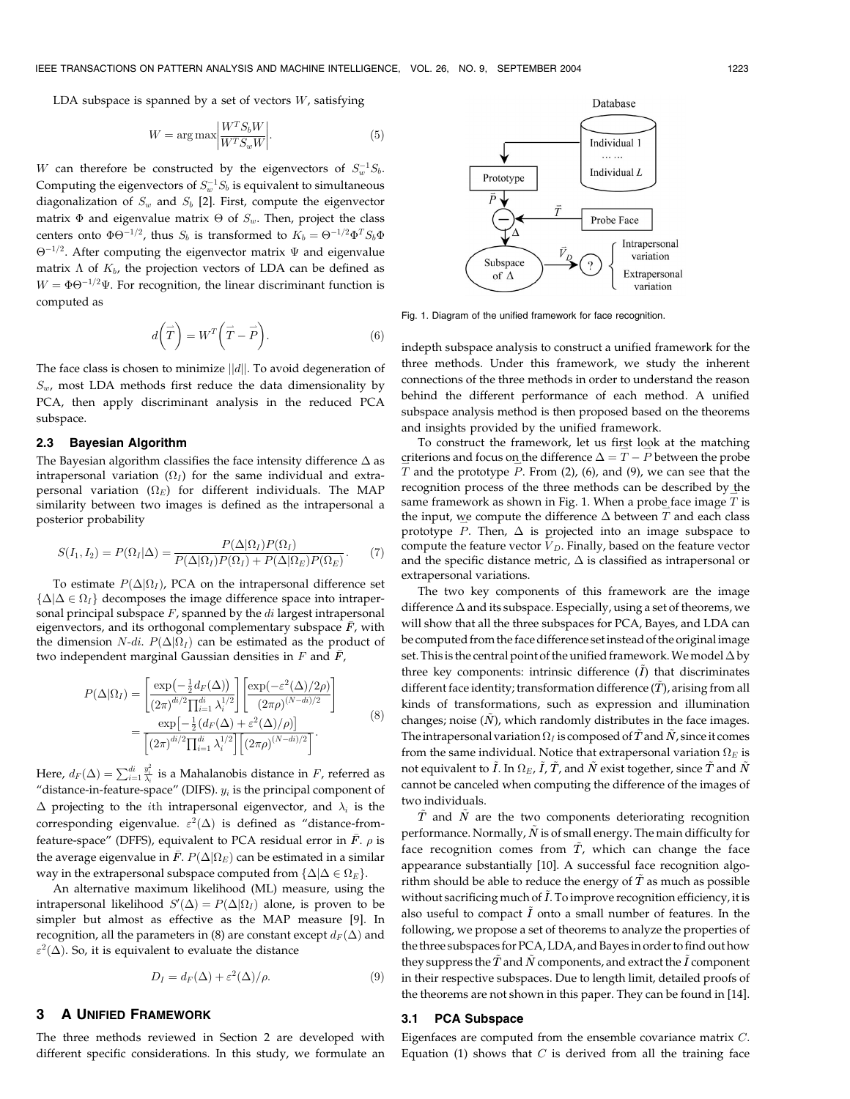LDA subspace is spanned by a set of vectors  $W$ , satisfying

$$
W = \arg \max \left| \frac{W^T S_b W}{W^T S_w W} \right|.
$$
 (5)

W can therefore be constructed by the eigenvectors of  $S_w^{-1}S_b$ . Computing the eigenvectors of  $S_w^{-1}S_b$  is equivalent to simultaneous diagonalization of  $S_w$  and  $S_b$  [2]. First, compute the eigenvector matrix  $\Phi$  and eigenvalue matrix  $\Theta$  of  $S_w.$  Then, project the class centers onto  $\Phi \Theta^{-1/2}$ , thus  $S_b$  is transformed to  $K_b = \Theta^{-1/2} \Phi^T S_b \Phi$  $\Theta^{-1/2}$ . After computing the eigenvector matrix  $\Psi$  and eigenvalue matrix  $\Lambda$  of  $K_b$ , the projection vectors of LDA can be defined as  $W = \Phi \Theta^{-1/2} \Psi$ . For recognition, the linear discriminant function is computed as

$$
d\left(\vec{T}\right) = W^T \left(\vec{T} - \vec{P}\right). \tag{6}
$$

The face class is chosen to minimize  $||d||$ . To avoid degeneration of  $S_w$ , most LDA methods first reduce the data dimensionality by PCA, then apply discriminant analysis in the reduced PCA subspace.

## 2.3 Bayesian Algorithm

The Bayesian algorithm classifies the face intensity difference  $\Delta$  as intrapersonal variation  $(\Omega_I)$  for the same individual and extrapersonal variation ( $\Omega_E$ ) for different individuals. The MAP similarity between two images is defined as the intrapersonal a posterior probability

$$
S(I_1, I_2) = P(\Omega_I | \Delta) = \frac{P(\Delta | \Omega_I) P(\Omega_I)}{P(\Delta | \Omega_I) P(\Omega_I) + P(\Delta | \Omega_E) P(\Omega_E)}.
$$
(7)

To estimate  $P(\Delta|\Omega_I)$ , PCA on the intrapersonal difference set  $\{\Delta | \Delta \in \Omega_I\}$  decomposes the image difference space into intrapersonal principal subspace  $F$ , spanned by the  $di$  largest intrapersonal eigenvectors, and its orthogonal complementary subspace  $\bar{F}$ , with the dimension *N-di*.  $P(\Delta|\Omega_I)$  can be estimated as the product of two independent marginal Gaussian densities in  $F$  and  $\bar{F}$ ,

$$
P(\Delta|\Omega_I) = \frac{\left[\exp\left(-\frac{1}{2}d_F(\Delta)\right)\right]}{(2\pi)^{di/2}\prod_{i=1}^{di}\lambda_i^{1/2}} \left[\frac{\exp(-\varepsilon^2(\Delta)/2\rho)}{(2\pi\rho)^{(N-di)/2}}\right] = \frac{\exp\left[-\frac{1}{2}(d_F(\Delta) + \varepsilon^2(\Delta)/\rho)\right]}{\left[(2\pi)^{di/2}\prod_{i=1}^{di}\lambda_i^{1/2}\right]\left[(2\pi\rho)^{(N-di)/2}\right]}.
$$
(8)

Here,  $d_F(\Delta) = \sum_{i=1}^{di} \frac{y_i^2}{\lambda_i}$  is a Mahalanobis distance in F, referred as "distance-in-feature-space" (DIFS).  $y_i$  is the principal component of  $\Delta$  projecting to the *i*th intrapersonal eigenvector, and  $\lambda_i$  is the corresponding eigenvalue.  $\varepsilon^2(\Delta)$  is defined as "distance-fromfeature-space" (DFFS), equivalent to PCA residual error in  $\bar{F}$ .  $\rho$  is the average eigenvalue in  $\bar{F}$ .  $P(\Delta|\Omega_E)$  can be estimated in a similar way in the extrapersonal subspace computed from  $\{\Delta | \Delta \in \Omega_E\}$ .

An alternative maximum likelihood (ML) measure, using the intrapersonal likelihood  $S'(\Delta) = P(\Delta | \Omega_I)$  alone, is proven to be simpler but almost as effective as the MAP measure [9]. In recognition, all the parameters in (8) are constant except  $d_F(\Delta)$  and  $\varepsilon^2(\Delta)$ . So, it is equivalent to evaluate the distance

$$
D_I = d_F(\Delta) + \varepsilon^2(\Delta)/\rho.
$$
 (9)

# 3 AUNIFIED FRAMEWORK

The three methods reviewed in Section 2 are developed with different specific considerations. In this study, we formulate an



indepth subspace analysis to construct a unified framework for the three methods. Under this framework, we study the inherent connections of the three methods in order to understand the reason behind the different performance of each method. A unified subspace analysis method is then proposed based on the theorems and insights provided by the unified framework.

To construct the framework, let us fir<u>s</u>t look at the matching criterions and focus on the difference  $\Delta = T - P$  between the probe  $T$  and the prototype  $P$ . From (2), (6), and (9), we can see that the recognition process of the three methods can be described by  $\underline{}$  the same framework as shown in Fig. 1. When a probe face image  $T$  is the input, we compute the difference  $\Delta$  between  $T$  and each class prototype  $P$ . Then,  $\Delta$  is projected into an image subspace to compute the feature vector  $V_D$ . Finally, based on the feature vector and the specific distance metric,  $\Delta$  is classified as intrapersonal or extrapersonal variations.

The two key components of this framework are the image difference  $\Delta$  and its subspace. Especially, using a set of theorems, we will show that all the three subspaces for PCA, Bayes, and LDA can be computed from the face difference setinstead of the originalimage set. This is the central point of the unified framework. We model  $\Delta$  by three key components: intrinsic difference  $(\tilde{I})$  that discriminates different face identity; transformation difference  $(T)$ , arising from all kinds of transformations, such as expression and illumination changes; noise  $(N)$ , which randomly distributes in the face images. The intrapersonal variation  $\Omega_I$  is composed of  $\tilde{T}$  and  $\tilde{N}$ , since it comes from the same individual. Notice that extrapersonal variation  $\Omega_E$  is not equivalent to  $\tilde{I}$ . In  $\Omega_E$ ,  $\tilde{I}$ ,  $\tilde{T}$ , and  $\tilde{N}$  exist together, since  $\tilde{T}$  and  $\tilde{N}$ cannot be canceled when computing the difference of the images of two individuals.

 $\ddot{T}$  and N are the two components deteriorating recognition performance. Normally,  $\tilde{N}$  is of small energy. The main difficulty for face recognition comes from  $\tilde{T}$ , which can change the face appearance substantially [10]. A successful face recognition algorithm should be able to reduce the energy of  $\tilde{T}$  as much as possible without sacrificing much of  $\tilde{I}$ . To improve recognition efficiency, it is also useful to compact  $\tilde{I}$  onto a small number of features. In the following, we propose a set of theorems to analyze the properties of the three subspaces for PCA, LDA, and Bayesin order to find out how they suppress the  $\tilde{T}$  and  $\tilde{N}$  components, and extract the  $\tilde{I}$  component in their respective subspaces. Due to length limit, detailed proofs of the theorems are not shown in this paper. They can be found in [14].

#### 3.1 PCA Subspace

Eigenfaces are computed from the ensemble covariance matrix C. Equation (1) shows that  $C$  is derived from all the training face

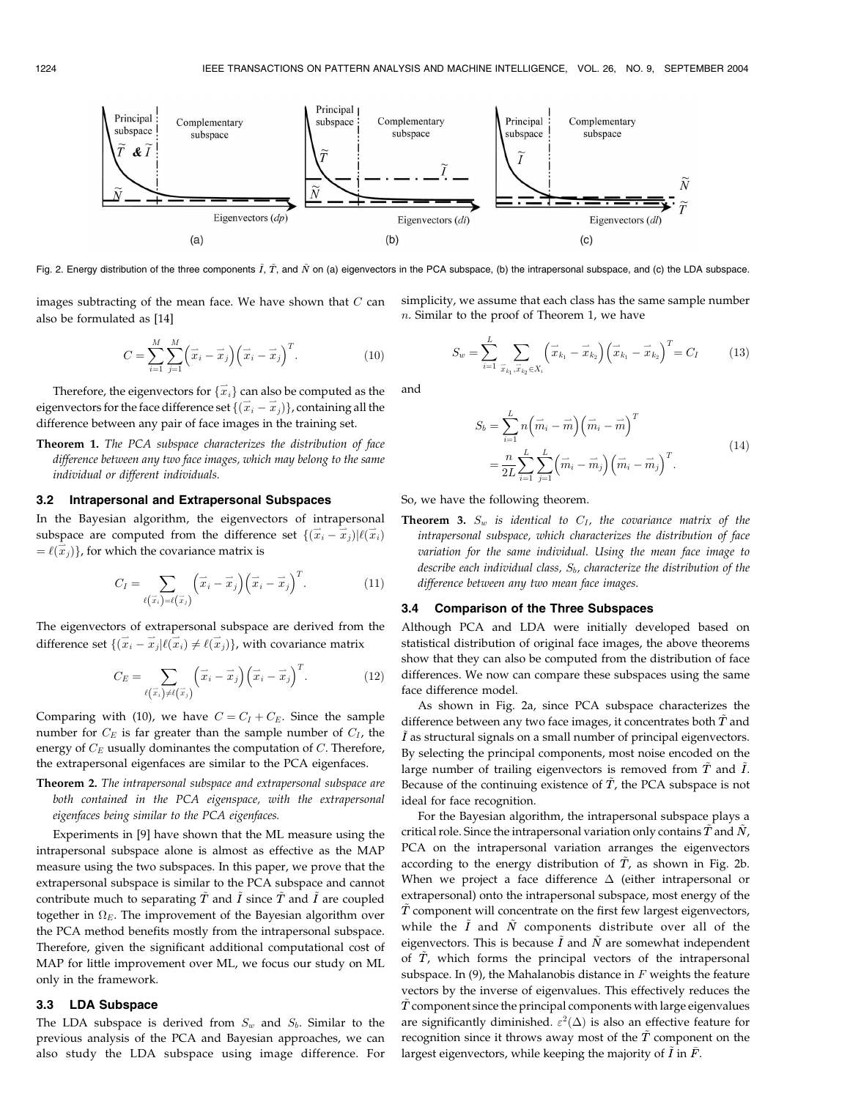

Fig. 2. Energy distribution of the three components  $\tilde{I}$ ,  $\tilde{T}$ , and  $\tilde{N}$  on (a) eigenvectors in the PCA subspace, (b) the intrapersonal subspace, and (c) the LDA subspace.

images subtracting of the mean face. We have shown that  $C$  can also be formulated as [14]

$$
C = \sum_{i=1}^{M} \sum_{j=1}^{M} (\vec{x}_i - \vec{x}_j) (\vec{x}_i - \vec{x}_j)^T.
$$
 (10)

Therefore, the eigenvectors for  $\{\overrightarrow{x}_i\}$  can also be computed as the eigenvectors for the face difference set  $\{(\vec{x}_i - \vec{x}_j)\}\$ , containing all the difference between any pair of face images in the training set.

Theorem 1. The PCA subspace characterizes the distribution of face difference between any two face images, which may belong to the same individual or different individuals.

#### 3.2 Intrapersonal and Extrapersonal Subspaces

In the Bayesian algorithm, the eigenvectors of intrapersonal subspace are computed from the difference set  $\{(\vec{x}_i - \vec{x}_j) | \ell(\vec{x}_i)\}$  $= \ell(\hat{\vec{x}}_j)$ , for which the covariance matrix is

$$
C_I = \sum_{\ell(\vec{x}_i) = \ell(\vec{x}_j)} (\vec{x}_i - \vec{x}_j) (\vec{x}_i - \vec{x}_j)^T.
$$
 (11)

The eigenvectors of extrapersonal subspace are derived from the difference set  $\{(\vec{x}_i - \vec{x}_j) | \ell(\vec{x}_i) \neq \ell(\vec{x}_j)\}$ , with covariance matrix

$$
C_E = \sum_{\ell(\vec{x}_i)\neq\ell(\vec{x}_j)} (\vec{x}_i - \vec{x}_j) (\vec{x}_i - \vec{x}_j)^T.
$$
 (12)

Comparing with (10), we have  $C = C_I + C_E$ . Since the sample number for  $C_E$  is far greater than the sample number of  $C_I$ , the energy of  $C_E$  usually dominantes the computation of  $C$ . Therefore, the extrapersonal eigenfaces are similar to the PCA eigenfaces.

Theorem 2. The intrapersonal subspace and extrapersonal subspace are both contained in the PCA eigenspace, with the extrapersonal eigenfaces being similar to the PCA eigenfaces.

Experiments in [9] have shown that the ML measure using the intrapersonal subspace alone is almost as effective as the MAP measure using the two subspaces. In this paper, we prove that the extrapersonal subspace is similar to the PCA subspace and cannot contribute much to separating  $\tilde{T}$  and  $\tilde{I}$  since  $\tilde{T}$  and  $\tilde{I}$  are coupled together in  $\Omega_E$ . The improvement of the Bayesian algorithm over the PCA method benefits mostly from the intrapersonal subspace. Therefore, given the significant additional computational cost of MAP for little improvement over ML, we focus our study on ML only in the framework.

## 3.3 LDA Subspace

The LDA subspace is derived from  $S_w$  and  $S_b$ . Similar to the previous analysis of the PCA and Bayesian approaches, we can also study the LDA subspace using image difference. For simplicity, we assume that each class has the same sample number  $n.$  Similar to the proof of Theorem 1, we have

$$
S_w = \sum_{i=1}^{L} \sum_{\vec{x}_{k_1}, \vec{x}_{k_2} \in X_i} \left( \vec{x}_{k_1} - \vec{x}_{k_2} \right) \left( \vec{x}_{k_1} - \vec{x}_{k_2} \right)^T = C_I \tag{13}
$$

and

$$
S_b = \sum_{i=1}^{L} n \left( \vec{m}_i - \vec{m} \right) \left( \vec{m}_i - \vec{m} \right)^T = \frac{n}{2L} \sum_{i=1}^{L} \sum_{j=1}^{L} \left( \vec{m}_i - \vec{m}_j \right) \left( \vec{m}_i - \vec{m}_j \right)^T.
$$
(14)

So, we have the following theorem.

**Theorem 3.**  $S_w$  is identical to  $C_I$ , the covariance matrix of the intrapersonal subspace, which characterizes the distribution of face variation for the same individual. Using the mean face image to describe each individual class,  $S_b$ , characterize the distribution of the difference between any two mean face images.

### 3.4 Comparison of the Three Subspaces

Although PCA and LDA were initially developed based on statistical distribution of original face images, the above theorems show that they can also be computed from the distribution of face differences. We now can compare these subspaces using the same face difference model.

As shown in Fig. 2a, since PCA subspace characterizes the difference between any two face images, it concentrates both  $T$  and  $\tilde{I}$  as structural signals on a small number of principal eigenvectors. By selecting the principal components, most noise encoded on the large number of trailing eigenvectors is removed from  $\tilde{T}$  and  $\tilde{I}.$ Because of the continuing existence of  $\tilde{T}$ , the PCA subspace is not ideal for face recognition.

For the Bayesian algorithm, the intrapersonal subspace plays a critical role. Since the intrapersonal variation only contains  $\tilde{T}$  and  $\tilde{N}$ , PCA on the intrapersonal variation arranges the eigenvectors according to the energy distribution of  $\ddot{T}$ , as shown in Fig. 2b. When we project a face difference  $\Delta$  (either intrapersonal or extrapersonal) onto the intrapersonal subspace, most energy of the  $T$  component will concentrate on the first few largest eigenvectors, while the  $\tilde{I}$  and  $\tilde{N}$  components distribute over all of the eigenvectors. This is because  $\tilde{I}$  and  $\tilde{N}$  are somewhat independent of  $\tilde{T}$ , which forms the principal vectors of the intrapersonal subspace. In (9), the Mahalanobis distance in  $F$  weights the feature vectors by the inverse of eigenvalues. This effectively reduces the  $\ddot{T}$  component since the principal components with large eigenvalues are significantly diminished.  $\varepsilon^2(\Delta)$  is also an effective feature for recognition since it throws away most of the  $\tilde{T}$  component on the largest eigenvectors, while keeping the majority of  $\tilde{I}$  in  $\bar{F}$ .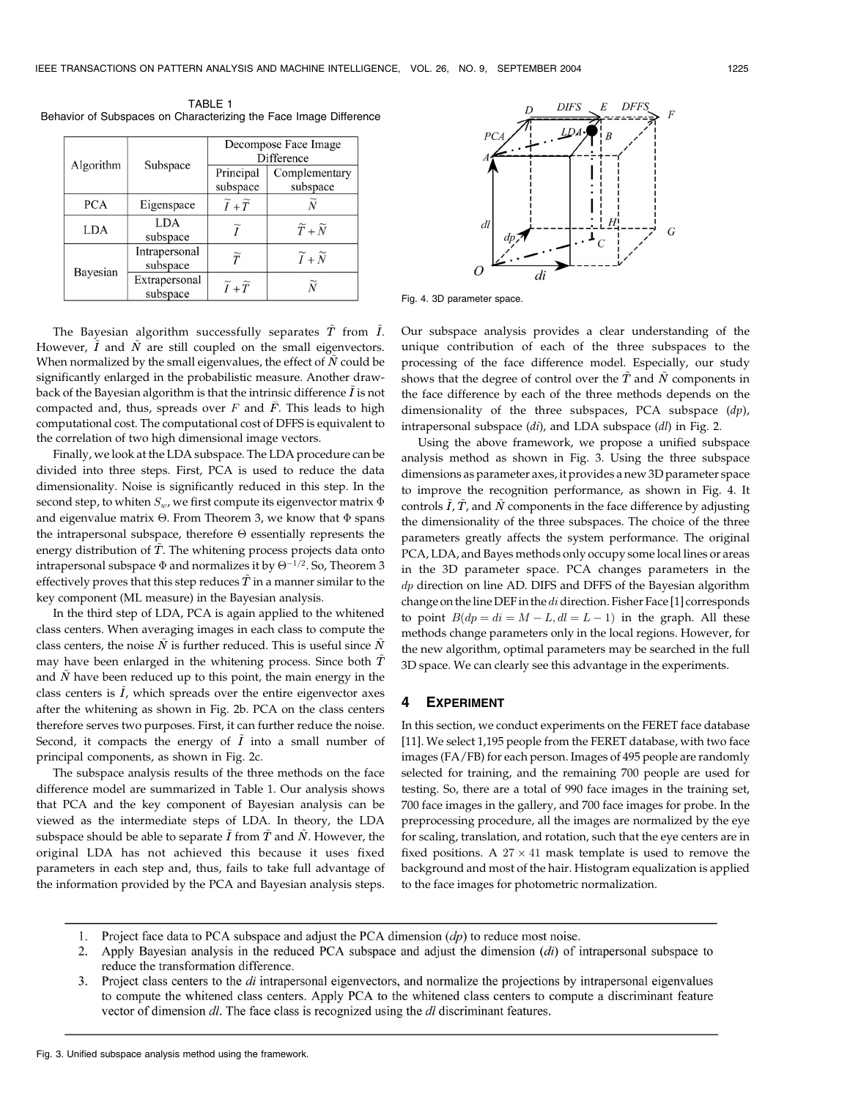| Algorithm  |                           | Decompose Face Image<br>Difference |                               |  |  |  |
|------------|---------------------------|------------------------------------|-------------------------------|--|--|--|
|            | Subspace                  | Principal<br>subspace              | Complementary<br>subspace     |  |  |  |
| <b>PCA</b> | Eigenspace                | $\widetilde{I}+\widetilde{T}$      |                               |  |  |  |
| <b>LDA</b> | LDA<br>subspace           | $\widetilde{\mathbf{r}}$           | $\widetilde{T}+\widetilde{N}$ |  |  |  |
| Bayesian   | Intrapersonal<br>subspace | $\widetilde{T}$                    | $\widetilde{I}+\widetilde{N}$ |  |  |  |
|            | Extrapersonal<br>subspace | $\widetilde{I}+\widetilde{T}$      |                               |  |  |  |

TABLE 1 Behavior of Subspaces on Characterizing the Face Image Difference

The Bayesian algorithm successfully separates  $\tilde{T}$  from  $\tilde{I}$ . However,  $\tilde{I}$  and  $\tilde{N}$  are still coupled on the small eigenvectors. When normalized by the small eigenvalues, the effect of  $\tilde{N}$  could be significantly enlarged in the probabilistic measure. Another drawback of the Bayesian algorithm is that the intrinsic difference  $\tilde{I}$  is not compacted and, thus, spreads over  $F$  and  $\overline{F}$ . This leads to high computational cost. The computational cost of DFFS is equivalent to the correlation of two high dimensional image vectors.

Finally, we look at the LDA subspace. The LDA procedure can be divided into three steps. First, PCA is used to reduce the data dimensionality. Noise is significantly reduced in this step. In the second step, to whiten  $S_w$ , we first compute its eigenvector matrix  $\Phi$ and eigenvalue matrix  $\Theta$ . From Theorem 3, we know that  $\Phi$  spans the intrapersonal subspace, therefore  $\Theta$  essentially represents the energy distribution of  $\tilde{T}$ . The whitening process projects data onto intrapersonal subspace  $\Phi$  and normalizes it by  $\Theta^{-1/2}.$  So, Theorem 3 effectively proves that this step reduces  $\tilde{T}$  in a manner similar to the key component (ML measure) in the Bayesian analysis.

In the third step of LDA, PCA is again applied to the whitened class centers. When averaging images in each class to compute the class centers, the noise  $\tilde{N}$  is further reduced. This is useful since  $\tilde{N}$ may have been enlarged in the whitening process. Since both  $\tilde{T}$ and  $\tilde{N}$  have been reduced up to this point, the main energy in the class centers is  $\tilde{I}$ , which spreads over the entire eigenvector axes after the whitening as shown in Fig. 2b. PCA on the class centers therefore serves two purposes. First, it can further reduce the noise. Second, it compacts the energy of  $\tilde{I}$  into a small number of principal components, as shown in Fig. 2c.

The subspace analysis results of the three methods on the face difference model are summarized in Table 1. Our analysis shows that PCA and the key component of Bayesian analysis can be viewed as the intermediate steps of LDA. In theory, the LDA subspace should be able to separate  $\tilde{I}$  from  $\tilde{T}$  and  $\tilde{N}$ . However, the original LDA has not achieved this because it uses fixed parameters in each step and, thus, fails to take full advantage of the information provided by the PCA and Bayesian analysis steps.



Fig. 4. 3D parameter space.

Our subspace analysis provides a clear understanding of the unique contribution of each of the three subspaces to the processing of the face difference model. Especially, our study shows that the degree of control over the  $\tilde{T}$  and  $\tilde{N}$  components in the face difference by each of the three methods depends on the dimensionality of the three subspaces, PCA subspace  $(dp)$ , intrapersonal subspace (di), and LDA subspace (dl) in Fig. 2.

Using the above framework, we propose a unified subspace analysis method as shown in Fig. 3. Using the three subspace dimensions as parameter axes, it provides a new 3D parameter space to improve the recognition performance, as shown in Fig. 4. It controls  $\tilde{I}$ ,  $\tilde{T}$ , and  $\tilde{N}$  components in the face difference by adjusting the dimensionality of the three subspaces. The choice of the three parameters greatly affects the system performance. The original PCA, LDA, and Bayes methods only occupy some local lines or areas in the 3D parameter space. PCA changes parameters in the  $dp$  direction on line AD. DIFS and DFFS of the Bayesian algorithm change on the line DEF in the  $di$  direction. Fisher Face [1] corresponds to point  $B(dp = di = M - L, dl = L - 1)$  in the graph. All these methods change parameters only in the local regions. However, for the new algorithm, optimal parameters may be searched in the full 3D space. We can clearly see this advantage in the experiments.

### 4 EXPERIMENT

In this section, we conduct experiments on the FERET face database [11]. We select 1,195 people from the FERET database, with two face images (FA/FB) for each person. Images of 495 people are randomly selected for training, and the remaining 700 people are used for testing. So, there are a total of 990 face images in the training set, 700 face images in the gallery, and 700 face images for probe. In the preprocessing procedure, all the images are normalized by the eye for scaling, translation, and rotation, such that the eye centers are in fixed positions. A  $27 \times 41$  mask template is used to remove the background and most of the hair. Histogram equalization is applied to the face images for photometric normalization.

- 1. Project face data to PCA subspace and adjust the PCA dimension  $(dp)$  to reduce most noise.
- $2.$ Apply Bayesian analysis in the reduced PCA subspace and adjust the dimension  $(di)$  of intrapersonal subspace to reduce the transformation difference.
- 3. Project class centers to the *di* intrapersonal eigenvectors, and normalize the projections by intrapersonal eigenvalues to compute the whitened class centers. Apply PCA to the whitened class centers to compute a discriminant feature vector of dimension dl. The face class is recognized using the dl discriminant features.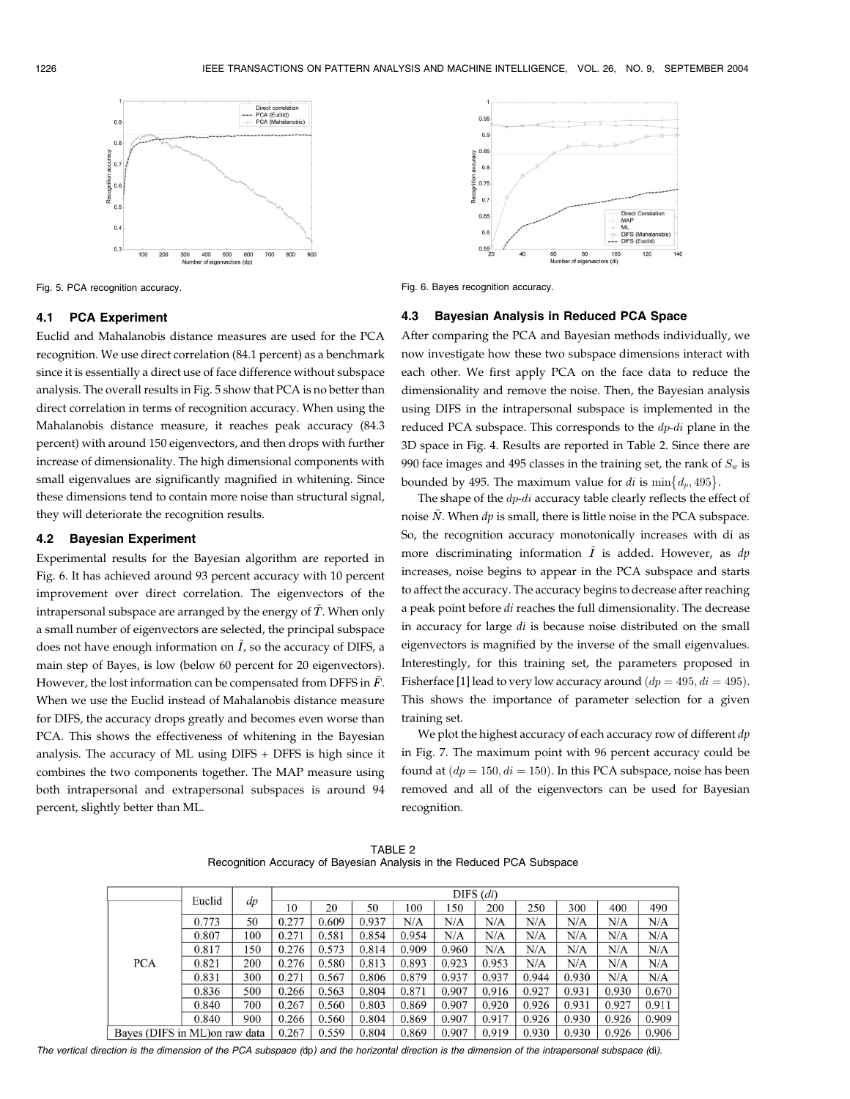

### 4.1 PCA Experiment

Euclid and Mahalanobis distance measures are used for the PCA recognition. We use direct correlation (84.1 percent) as a benchmark since it is essentially a direct use of face difference without subspace analysis. The overall results in Fig. 5 show that PCA is no better than direct correlation in terms of recognition accuracy. When using the Mahalanobis distance measure, it reaches peak accuracy (84.3 percent) with around 150 eigenvectors, and then drops with further increase of dimensionality. The high dimensional components with small eigenvalues are significantly magnified in whitening. Since these dimensions tend to contain more noise than structural signal, they will deteriorate the recognition results.

#### 4.2 Bayesian Experiment

Experimental results for the Bayesian algorithm are reported in Fig. 6. It has achieved around 93 percent accuracy with 10 percent improvement over direct correlation. The eigenvectors of the intrapersonal subspace are arranged by the energy of  $\tilde{T}$ . When only a small number of eigenvectors are selected, the principal subspace does not have enough information on  $\tilde{I}$ , so the accuracy of DIFS, a main step of Bayes, is low (below 60 percent for 20 eigenvectors). However, the lost information can be compensated from DFFS in  $\bar{F}$ . When we use the Euclid instead of Mahalanobis distance measure for DIFS, the accuracy drops greatly and becomes even worse than PCA. This shows the effectiveness of whitening in the Bayesian analysis. The accuracy of ML using DIFS + DFFS is high since it combines the two components together. The MAP measure using both intrapersonal and extrapersonal subspaces is around 94 percent, slightly better than ML.



Fig. 5. PCA recognition accuracy. Fig. 6. Bayes recognition accuracy.

### 4.3 Bayesian Analysis in Reduced PCA Space

After comparing the PCA and Bayesian methods individually, we now investigate how these two subspace dimensions interact with each other. We first apply PCA on the face data to reduce the dimensionality and remove the noise. Then, the Bayesian analysis using DIFS in the intrapersonal subspace is implemented in the reduced PCA subspace. This corresponds to the dp-di plane in the 3D space in Fig. 4. Results are reported in Table 2. Since there are 990 face images and 495 classes in the training set, the rank of  $S_w$  is bounded by 495. The maximum value for *di* is  $\min\{d_p, 495\}$ .

The shape of the  $dp$ -di accuracy table clearly reflects the effect of noise  $\tilde{N}$ . When dp is small, there is little noise in the PCA subspace. So, the recognition accuracy monotonically increases with di as more discriminating information  $\tilde{I}$  is added. However, as dp increases, noise begins to appear in the PCA subspace and starts to affect the accuracy. The accuracy begins to decrease after reaching a peak point before di reaches the full dimensionality. The decrease in accuracy for large di is because noise distributed on the small eigenvectors is magnified by the inverse of the small eigenvalues. Interestingly, for this training set, the parameters proposed in Fisherface [1] lead to very low accuracy around  $(dp = 495, di = 495)$ . This shows the importance of parameter selection for a given training set.

We plot the highest accuracy of each accuracy row of different  $dp$ in Fig. 7. The maximum point with 96 percent accuracy could be found at  $(dp = 150, di = 150)$ . In this PCA subspace, noise has been removed and all of the eigenvectors can be used for Bayesian recognition.

TABLE 2 Recognition Accuracy of Bayesian Analysis in the Reduced PCA Subspace

|                                | Euclid | dp    | $DIFS$ $(di)$ |       |       |       |       |       |       |       |       |       |
|--------------------------------|--------|-------|---------------|-------|-------|-------|-------|-------|-------|-------|-------|-------|
|                                |        |       | 10            | 20    | 50    | 100   | 150   | 200   | 250   | 300   | 400   | 490   |
| <b>PCA</b>                     | 0.773  | 50    | 0.277         | 0.609 | 0.937 | N/A   | N/A   | N/A   | N/A   | N/A   | N/A   | N/A   |
|                                | 0.807  | 100   | 0.271         | 0.581 | 0.854 | 0.954 | N/A   | N/A   | N/A   | N/A   | N/A   | N/A   |
|                                | 0.817  | 150   | 0.276         | 0.573 | 0.814 | 0.909 | 0.960 | N/A   | N/A   | N/A   | N/A   | N/A   |
|                                | 0.821  | 200   | 0.276         | 0.580 | 0.813 | 0.893 | 0.923 | 0.953 | N/A   | N/A   | N/A   | N/A   |
|                                | 0.831  | 300   | 0.271         | 0.567 | 0.806 | 0.879 | 0.937 | 0.937 | 0.944 | 0.930 | N/A   | N/A   |
|                                | 0.836  | 500   | 0.266         | 0.563 | 0.804 | 0.871 | 0.907 | 0.916 | 0.927 | 0.931 | 0.930 | 0.670 |
|                                | 0.840  | 700   | 0.267         | 0.560 | 0.803 | 0.869 | 0.907 | 0.920 | 0.926 | 0.931 | 0.927 | 0.911 |
|                                | 0.840  | 900   | 0.266         | 0.560 | 0.804 | 0.869 | 0.907 | 0.917 | 0.926 | 0.930 | 0.926 | 0.909 |
| Bayes (DIFS in ML) on raw data |        | 0.267 | 0.559         | 0.804 | 0.869 | 0.907 | 0.919 | 0.930 | 0.930 | 0.926 | 0.906 |       |

The vertical direction is the dimension of the PCA subspace (dp) and the horizontal direction is the dimension of the intrapersonal subspace (di).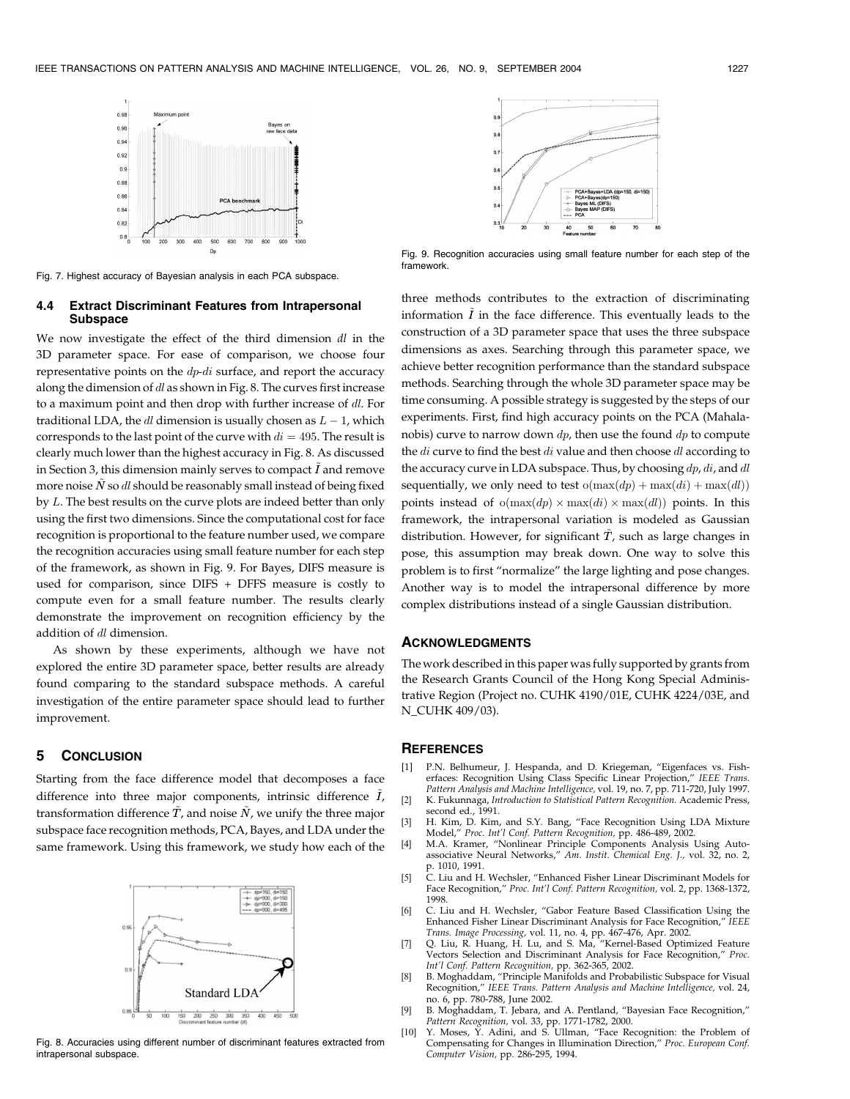

Fig. 7. Highest accuracy of Bayesian analysis in each PCA subspace.

### 4.4 Extract Discriminant Features from Intrapersonal Subspace

We now investigate the effect of the third dimension  $dl$  in the 3D parameter space. For ease of comparison, we choose four representative points on the  $dp$ -di surface, and report the accuracy along the dimension of dl as shown in Fig. 8. The curves first increase to a maximum point and then drop with further increase of dl. For traditional LDA, the  $dl$  dimension is usually chosen as  $L-1$ , which corresponds to the last point of the curve with  $di = 495$ . The result is clearly much lower than the highest accuracy in Fig. 8. As discussed in Section 3, this dimension mainly serves to compact  $\tilde{I}$  and remove more noise  $\tilde{N}$  so dl should be reasonably small instead of being fixed by L. The best results on the curve plots are indeed better than only using the first two dimensions. Since the computational cost for face recognition is proportional to the feature number used, we compare the recognition accuracies using small feature number for each step of the framework, as shown in Fig. 9. For Bayes, DIFS measure is used for comparison, since DIFS + DFFS measure is costly to compute even for a small feature number. The results clearly demonstrate the improvement on recognition efficiency by the addition of dl dimension.

As shown by these experiments, although we have not explored the entire 3D parameter space, better results are already found comparing to the standard subspace methods. A careful investigation of the entire parameter space should lead to further improvement.

# 5 CONCLUSION

Starting from the face difference model that decomposes a face difference into three major components, intrinsic difference  $\tilde{I}$ , transformation difference  $\tilde{T}$ , and noise  $\tilde{N}$ , we unify the three major subspace face recognition methods, PCA, Bayes, and LDA under the same framework. Using this framework, we study how each of the



Fig. 8. Accuracies using different number of discriminant features extracted from intrapersonal subspace.



Fig. 9. Recognition accuracies using small feature number for each step of the framework.

three methods contributes to the extraction of discriminating information  $\tilde{I}$  in the face difference. This eventually leads to the construction of a 3D parameter space that uses the three subspace dimensions as axes. Searching through this parameter space, we achieve better recognition performance than the standard subspace methods. Searching through the whole 3D parameter space may be time consuming. A possible strategy is suggested by the steps of our experiments. First, find high accuracy points on the PCA (Mahalanobis) curve to narrow down  $dp$ , then use the found  $dp$  to compute the *di* curve to find the best *di* value and then choose *dl* according to the accuracy curve in LDA subspace. Thus, by choosing  $dp, di$ , and  $dl$ sequentially, we only need to test  $o(max(dp) + max(di) + max(dl)$ points instead of  $o(max(dp) \times max(di) \times max(dl))$  points. In this framework, the intrapersonal variation is modeled as Gaussian distribution. However, for significant  $\tilde{T}$ , such as large changes in pose, this assumption may break down. One way to solve this problem is to first "normalize" the large lighting and pose changes. Another way is to model the intrapersonal difference by more complex distributions instead of a single Gaussian distribution.

### ACKNOWLEDGMENTS

The work described in this paper was fully supported by grants from the Research Grants Council of the Hong Kong Special Administrative Region (Project no. CUHK 4190/01E, CUHK 4224/03E, and N\_CUHK 409/03).

### **REFERENCES**

- [1] P.N. Belhumeur, J. Hespanda, and D. Kriegeman, "Eigenfaces vs. Fisherfaces: Recognition Using Class Specific Linear Projection," IEEE Trans.<br>Pattern Analysis and Machine Intelligence, vol. 19, no. 7, pp. 711-720, July 1997. [2] K. Fukunnaga, Introduction to Statistical Pattern Recognition. Academic Press, second ed., 1991.
- [3] H. Kim, D. Kim, and S.Y. Bang, "Face Recognition Using LDA Mixture Model," Proc. Int'l Conf. Pattern Recognition, pp. 486-489, 2002.
- [4] M.A. Kramer, "Nonlinear Principle Components Analysis Using Autoassociative Neural Networks," Am. Instit. Chemical Eng. J., vol. 32, no. 2,
- p. 1010, 1991. [5] C. Liu and H. Wechsler, "Enhanced Fisher Linear Discriminant Models for Face Recognition," Proc. Int'l Conf. Pattern Recognition, vol. 2, pp. 1368-1372, 1998.
- [6] C. Liu and H. Wechsler, "Gabor Feature Based Classification Using the Enhanced Fisher Linear Discriminant Analysis for Face Recognition," IEEE Trans. Image Processing, vol. 11, no. 4, pp. 467-476, Apr. 2002. [7] Q. Liu, R. Huang, H. Lu, and S. Ma, "Kernel-Based Optimized Feature
- Vectors Selection and Discriminant Analysis for Face Recognition," Proc. Int'l Conf. Pattern Recognition, pp. 362-365, 2002.
- [8] B. Moghaddam, "Principle Manifolds and Probabilistic Subspace for Visual Recognition," IEEE Trans. Pattern Analysis and Machine Intelligence, vol. 24, no. 6, pp. 780-788, June 2002.
- [9] B. Moghaddam, T. Jebara, and A. Pentland, "Bayesian Face Recognition," Pattern Recognition, vol. 33, pp. 1771-1782, 2000.
- Y. Moses, Y. Adini, and S. Ullman, "Face Recognition: the Problem of Compensating for Changes in Illumination Direction," Proc. European Conf. Computer Vision, pp. 286-295, 1994.